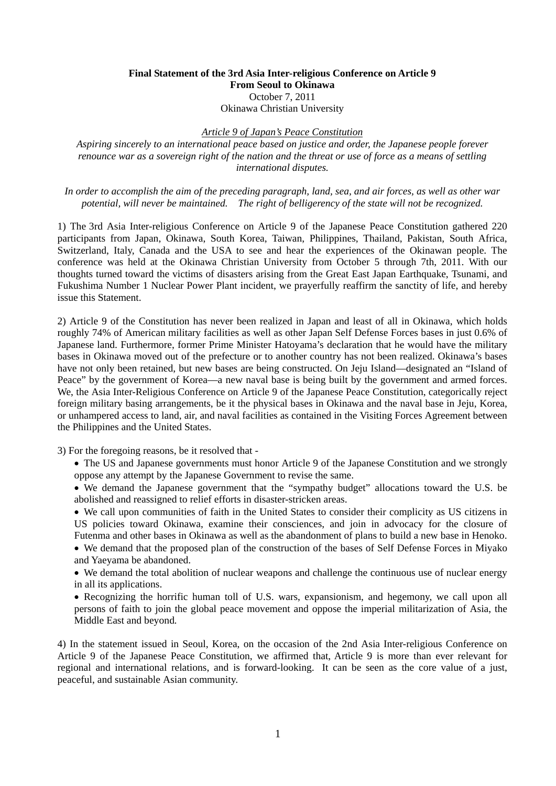## **Final Statement of the 3rd Asia Inter-religious Conference on Article 9 From Seoul to Okinawa**  October 7, 2011 Okinawa Christian University

## *Article 9 of Japan's Peace Constitution*

*Aspiring sincerely to an international peace based on justice and order, the Japanese people forever renounce war as a sovereign right of the nation and the threat or use of force as a means of settling international disputes.* 

*In order to accomplish the aim of the preceding paragraph, land, sea, and air forces, as well as other war potential, will never be maintained. The right of belligerency of the state will not be recognized.* 

1) The 3rd Asia Inter-religious Conference on Article 9 of the Japanese Peace Constitution gathered 220 participants from Japan, Okinawa, South Korea, Taiwan, Philippines, Thailand, Pakistan, South Africa, Switzerland, Italy, Canada and the USA to see and hear the experiences of the Okinawan people. The conference was held at the Okinawa Christian University from October 5 through 7th, 2011. With our thoughts turned toward the victims of disasters arising from the Great East Japan Earthquake, Tsunami, and Fukushima Number 1 Nuclear Power Plant incident, we prayerfully reaffirm the sanctity of life, and hereby issue this Statement.

2) Article 9 of the Constitution has never been realized in Japan and least of all in Okinawa, which holds roughly 74% of American military facilities as well as other Japan Self Defense Forces bases in just 0.6% of Japanese land. Furthermore, former Prime Minister Hatoyama's declaration that he would have the military bases in Okinawa moved out of the prefecture or to another country has not been realized. Okinawa's bases have not only been retained, but new bases are being constructed. On Jeju Island—designated an "Island of Peace" by the government of Korea—a new naval base is being built by the government and armed forces. We, the Asia Inter-Religious Conference on Article 9 of the Japanese Peace Constitution, categorically reject foreign military basing arrangements, be it the physical bases in Okinawa and the naval base in Jeju, Korea, or unhampered access to land, air, and naval facilities as contained in the Visiting Forces Agreement between the Philippines and the United States.

3) For the foregoing reasons, be it resolved that -

- The US and Japanese governments must honor Article 9 of the Japanese Constitution and we strongly oppose any attempt by the Japanese Government to revise the same.
- We demand the Japanese government that the "sympathy budget" allocations toward the U.S. be abolished and reassigned to relief efforts in disaster-stricken areas.

 We call upon communities of faith in the United States to consider their complicity as US citizens in US policies toward Okinawa, examine their consciences, and join in advocacy for the closure of Futenma and other bases in Okinawa as well as the abandonment of plans to build a new base in Henoko.

 We demand that the proposed plan of the construction of the bases of Self Defense Forces in Miyako and Yaeyama be abandoned.

 We demand the total abolition of nuclear weapons and challenge the continuous use of nuclear energy in all its applications.

 Recognizing the horrific human toll of U.S. wars, expansionism, and hegemony, we call upon all persons of faith to join the global peace movement and oppose the imperial militarization of Asia, the Middle East and beyond*.* 

4) In the statement issued in Seoul, Korea, on the occasion of the 2nd Asia Inter-religious Conference on Article 9 of the Japanese Peace Constitution, we affirmed that, Article 9 is more than ever relevant for regional and international relations, and is forward-looking. It can be seen as the core value of a just, peaceful, and sustainable Asian community.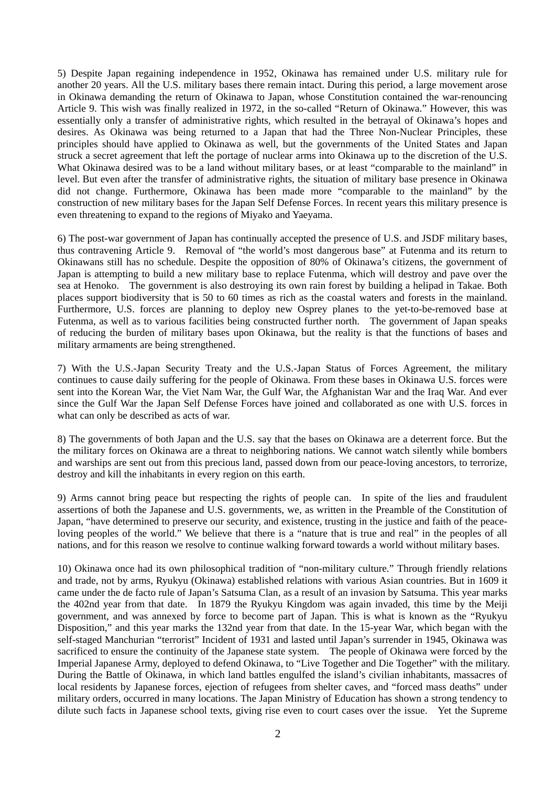5) Despite Japan regaining independence in 1952, Okinawa has remained under U.S. military rule for another 20 years. All the U.S. military bases there remain intact. During this period, a large movement arose in Okinawa demanding the return of Okinawa to Japan, whose Constitution contained the war-renouncing Article 9. This wish was finally realized in 1972, in the so-called "Return of Okinawa." However, this was essentially only a transfer of administrative rights, which resulted in the betrayal of Okinawa's hopes and desires. As Okinawa was being returned to a Japan that had the Three Non-Nuclear Principles, these principles should have applied to Okinawa as well, but the governments of the United States and Japan struck a secret agreement that left the portage of nuclear arms into Okinawa up to the discretion of the U.S. What Okinawa desired was to be a land without military bases, or at least "comparable to the mainland" in level. But even after the transfer of administrative rights, the situation of military base presence in Okinawa did not change. Furthermore, Okinawa has been made more "comparable to the mainland" by the construction of new military bases for the Japan Self Defense Forces. In recent years this military presence is even threatening to expand to the regions of Miyako and Yaeyama.

6) The post-war government of Japan has continually accepted the presence of U.S. and JSDF military bases, thus contravening Article 9. Removal of "the world's most dangerous base" at Futenma and its return to Okinawans still has no schedule. Despite the opposition of 80% of Okinawa's citizens, the government of Japan is attempting to build a new military base to replace Futenma, which will destroy and pave over the sea at Henoko. The government is also destroying its own rain forest by building a helipad in Takae. Both places support biodiversity that is 50 to 60 times as rich as the coastal waters and forests in the mainland. Furthermore, U.S. forces are planning to deploy new Osprey planes to the yet-to-be-removed base at Futenma, as well as to various facilities being constructed further north. The government of Japan speaks of reducing the burden of military bases upon Okinawa, but the reality is that the functions of bases and military armaments are being strengthened.

7) With the U.S.-Japan Security Treaty and the U.S.-Japan Status of Forces Agreement, the military continues to cause daily suffering for the people of Okinawa. From these bases in Okinawa U.S. forces were sent into the Korean War, the Viet Nam War, the Gulf War, the Afghanistan War and the Iraq War. And ever since the Gulf War the Japan Self Defense Forces have joined and collaborated as one with U.S. forces in what can only be described as acts of war.

8) The governments of both Japan and the U.S. say that the bases on Okinawa are a deterrent force. But the the military forces on Okinawa are a threat to neighboring nations. We cannot watch silently while bombers and warships are sent out from this precious land, passed down from our peace-loving ancestors, to terrorize, destroy and kill the inhabitants in every region on this earth.

9) Arms cannot bring peace but respecting the rights of people can. In spite of the lies and fraudulent assertions of both the Japanese and U.S. governments, we, as written in the Preamble of the Constitution of Japan, "have determined to preserve our security, and existence, trusting in the justice and faith of the peaceloving peoples of the world." We believe that there is a "nature that is true and real" in the peoples of all nations, and for this reason we resolve to continue walking forward towards a world without military bases.

10) Okinawa once had its own philosophical tradition of "non-military culture." Through friendly relations and trade, not by arms, Ryukyu (Okinawa) established relations with various Asian countries. But in 1609 it came under the de facto rule of Japan's Satsuma Clan, as a result of an invasion by Satsuma. This year marks the 402nd year from that date. In 1879 the Ryukyu Kingdom was again invaded, this time by the Meiji government, and was annexed by force to become part of Japan. This is what is known as the "Ryukyu Disposition," and this year marks the 132nd year from that date. In the 15-year War, which began with the self-staged Manchurian "terrorist" Incident of 1931 and lasted until Japan's surrender in 1945, Okinawa was sacrificed to ensure the continuity of the Japanese state system. The people of Okinawa were forced by the Imperial Japanese Army, deployed to defend Okinawa, to "Live Together and Die Together" with the military. During the Battle of Okinawa, in which land battles engulfed the island's civilian inhabitants, massacres of local residents by Japanese forces, ejection of refugees from shelter caves, and "forced mass deaths" under military orders, occurred in many locations. The Japan Ministry of Education has shown a strong tendency to dilute such facts in Japanese school texts, giving rise even to court cases over the issue. Yet the Supreme